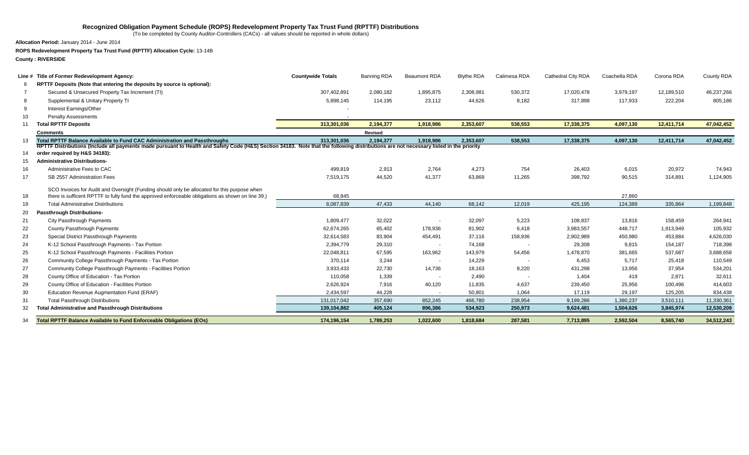### **Recognized Obligation Payment Schedule (ROPS) Redevelopment Property Tax Trust Fund (RPTTF) Distributions**

(To be completed by County Auditor-Controllers (CACs) - all values should be reported in whole dollars)

**Allocation Period:** January 2014 - June 2014

**ROPS Redevelopment Property Tax Trust Fund (RPTTF) Allocation Cycle:** 13-14B

**County : RIVERSIDE**

|     | Line # Title of Former Redevelopment Agency:                                                      | <b>Countywide Totals</b>                                                                                                                                                              | Banning RDA | <b>Beaumont RDA</b> | <b>Blythe RDA</b> | Calimesa RDA | Cathedral City RDA | Coachella RDA | Corona RDA | County RDA |  |  |
|-----|---------------------------------------------------------------------------------------------------|---------------------------------------------------------------------------------------------------------------------------------------------------------------------------------------|-------------|---------------------|-------------------|--------------|--------------------|---------------|------------|------------|--|--|
| -6  | RPTTF Deposits (Note that entering the deposits by source is optional):                           |                                                                                                                                                                                       |             |                     |                   |              |                    |               |            |            |  |  |
|     | Secured & Unsecured Property Tax Increment (TI)                                                   | 307,402,891                                                                                                                                                                           | 2,080,182   | 1,895,875           | 2,308,981         | 530,372      | 17,020,478         | 3,979,197     | 12,189,510 | 46,237,266 |  |  |
|     | Supplemental & Unitary Property TI                                                                | 5,898,145                                                                                                                                                                             | 114,195     | 23,112              | 44,626            | 8,182        | 317,898            | 117,933       | 222,204    | 805,186    |  |  |
| 9   | Interest Earnings/Other                                                                           |                                                                                                                                                                                       |             |                     |                   |              |                    |               |            |            |  |  |
| 10  | <b>Penalty Assessments</b>                                                                        |                                                                                                                                                                                       |             |                     |                   |              |                    |               |            |            |  |  |
| 11  | <b>Total RPTTF Deposits</b>                                                                       | 313,301,036                                                                                                                                                                           | 2,194,377   | 1,918,986           | 2,353,607         | 538,553      | 17,338,375         | 4,097,130     | 12,411,714 | 47,042,452 |  |  |
|     | <b>Comments</b>                                                                                   |                                                                                                                                                                                       | Revised     |                     |                   |              |                    |               |            |            |  |  |
| 13  | Total RPTTF Balance Available to Fund CAC Administration and Passthroughs                         | 313.301.036                                                                                                                                                                           | 2,194,377   | 1.918.986           | 2.353.607         | 538,553      | 17,338,375         | 4,097,130     | 12,411,714 | 47,042,452 |  |  |
|     |                                                                                                   | RPTTF Distributions (Include all payments made pursuant to Health and Safety Code (H&S) Section 34183. Note that the following distributions are not necessary listed in the priority |             |                     |                   |              |                    |               |            |            |  |  |
| 14  | order required by H&S 34183):                                                                     |                                                                                                                                                                                       |             |                     |                   |              |                    |               |            |            |  |  |
| 15  | <b>Administrative Distributions-</b>                                                              |                                                                                                                                                                                       |             |                     |                   |              |                    |               |            |            |  |  |
| 16  | Administrative Fees to CAC                                                                        | 499,819                                                                                                                                                                               | 2,913       | 2,764               | 4,273             | 754          | 26,403             | 6,015         | 20,972     | 74,943     |  |  |
| 17  | SB 2557 Administration Fees                                                                       | 7,519,175                                                                                                                                                                             | 44,520      | 41.377              | 63,869            | 11,265       | 398,792            | 90,515        | 314,891    | 1,124,905  |  |  |
|     | SCO Invoices for Audit and Oversight (Funding should only be allocated for this purpose when      |                                                                                                                                                                                       |             |                     |                   |              |                    |               |            |            |  |  |
| 18  | there is sufficent RPTTF to fully fund the approved enforceable obligations as shown on line 39.) | 68,845                                                                                                                                                                                |             |                     |                   |              |                    | 27,860        |            |            |  |  |
| 19  | <b>Total Administrative Distributions</b>                                                         | 8,087,839                                                                                                                                                                             | 47,433      | 44,140              | 68.142            | 12,019       | 425.195            | 124,389       | 335.864    | 1,199,848  |  |  |
| 20  | <b>Passthrough Distributions-</b>                                                                 |                                                                                                                                                                                       |             |                     |                   |              |                    |               |            |            |  |  |
| 21  | City Passthrough Payments                                                                         | 1,809,477                                                                                                                                                                             | 32,022      |                     | 32,097            | 5,223        | 108,837            | 13,816        | 158,459    | 264,941    |  |  |
| 22  | County Passthrough Payments                                                                       | 62.674.265                                                                                                                                                                            | 65,402      | 178,936             | 81,902            | 6,418        | 3,983,557          | 448,717       | 1,913,949  | 105,932    |  |  |
| 23  | Special District Passthrough Payments                                                             | 32,614,583                                                                                                                                                                            | 83,904      | 454,491             | 37,116            | 158,936      | 2,902,989          | 450,980       | 453,884    | 4,626,030  |  |  |
| 24  | K-12 School Passthrough Payments - Tax Portion                                                    | 2,394,779                                                                                                                                                                             | 29,310      | $\sim$              | 74,168            |              | 29,308             | 9,815         | 154,187    | 718,398    |  |  |
| 25  | K-12 School Passthrough Payments - Facilities Portion                                             | 22,048,811                                                                                                                                                                            | 67,595      | 163,962             | 143,979           | 54,456       | 1,478,870          | 381,665       | 537,687    | 3,688,658  |  |  |
| 26  | Community College Passthrough Payments - Tax Portion                                              | 370,114                                                                                                                                                                               | 3,244       |                     | 14,229            |              | 6,453              | 5.717         | 25,418     | 110,549    |  |  |
| 27  | Community College Passthrough Payments - Facilities Portion                                       | 3,933,433                                                                                                                                                                             | 22,730      | 14,736              | 18,163            | 8,220        | 431,298            | 13,956        | 37,954     | 534,201    |  |  |
| 28  | County Office of Education - Tax Portion                                                          | 110,058                                                                                                                                                                               | 1,339       |                     | 2,490             |              | 1.404              | 419           | 2.871      | 32,611     |  |  |
| 29  | County Office of Education - Facilities Portion                                                   | 2,626,924                                                                                                                                                                             | 7,916       | 40,120              | 11,835            | 4,637        | 239,450            | 25,956        | 100,496    | 414,603    |  |  |
| 30  | Education Revenue Augmentation Fund (ERAF)                                                        | 2,434,597                                                                                                                                                                             | 44,228      |                     | 50,801            | 1,064        | 17,119             | 29,197        | 125,205    | 834,438    |  |  |
| -31 | <b>Total Passthrough Distributions</b>                                                            | 131,017,042                                                                                                                                                                           | 357,690     | 852,245             | 466,780           | 238,954      | 9,199,286          | 1,380,237     | 3,510,111  | 11,330,361 |  |  |
| 32  | <b>Total Administrative and Passthrough Distributions</b>                                         | 139,104,882                                                                                                                                                                           | 405,124     | 896,386             | 534,923           | 250,973      | 9,624,481          | 1,504,626     | 3,845,974  | 12,530,209 |  |  |
| 34  | <b>Total RPTTF Balance Available to Fund Enforceable Obligations (EOs)</b>                        | 174.196.154                                                                                                                                                                           | 1,789,253   | 1.022.600           | 1.818.684         | 287.581      | 7.713.895          | 2.592.504     | 8.565.740  | 34.512.243 |  |  |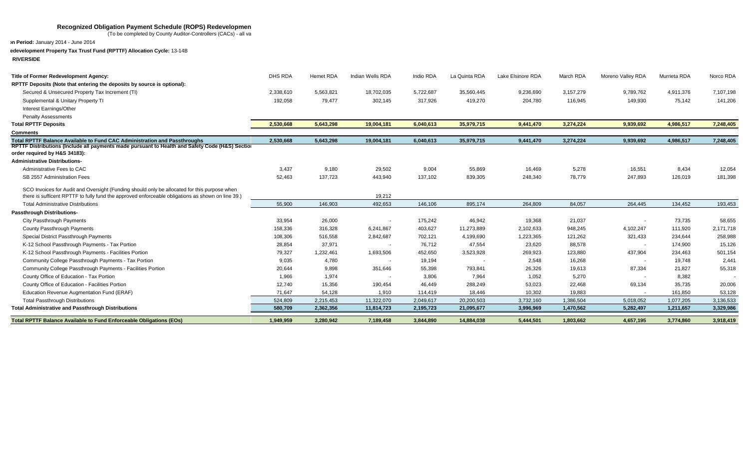#### Recognized Obligation Payment Schedule (ROPS) Redevelopmen

(To be completed by County Auditor-Controllers (CACs) - all values show that in whole dollars in whole dollars

**Allocation Period:** January 2014 - June 2014

## **ROPS Redevelopment Property Tax Trust Fund (RPTTF) Allocation Cycle:** 13-14B

**County : RIVERSIDE**

| Title of Former Redevelopment Agency:                                                                                                                                                             | DHS RDA   | Hemet RDA | Indian Wells RDA | Indio RDA | La Quinta RDA | Lake Elsinore RDA | March RDA | Moreno Valley RDA        | Murrieta RDA | Norco RDA |
|---------------------------------------------------------------------------------------------------------------------------------------------------------------------------------------------------|-----------|-----------|------------------|-----------|---------------|-------------------|-----------|--------------------------|--------------|-----------|
| RPTTF Deposits (Note that entering the deposits by source is optional):                                                                                                                           |           |           |                  |           |               |                   |           |                          |              |           |
| Secured & Unsecured Property Tax Increment (TI)                                                                                                                                                   | 2,338,610 | 5,563,821 | 18,702,035       | 5,722,687 | 35,560,445    | 9,236,690         | 3,157,279 | 9,789,762                | 4,911,376    | 7,107,198 |
| Supplemental & Unitary Property TI                                                                                                                                                                | 192,058   | 79,477    | 302,145          | 317,926   | 419,270       | 204,780           | 116,945   | 149,930                  | 75,142       | 141,206   |
| Interest Earnings/Other                                                                                                                                                                           |           |           |                  |           |               |                   |           |                          |              |           |
| <b>Penalty Assessments</b>                                                                                                                                                                        |           |           |                  |           |               |                   |           |                          |              |           |
| <b>Total RPTTF Deposits</b>                                                                                                                                                                       | 2,530,668 | 5,643,298 | 19,004,181       | 6,040,613 | 35,979,715    | 9,441,470         | 3,274,224 | 9,939,692                | 4,986,517    | 7,248,405 |
| <b>Comments</b>                                                                                                                                                                                   |           |           |                  |           |               |                   |           |                          |              |           |
| Total RPTTF Balance Available to Fund CAC Administration and Passthroughs                                                                                                                         | 2,530,668 | 5,643,298 | 19,004,181       | 6,040,613 | 35,979,715    | 9,441,470         | 3,274,224 | 9,939,692                | 4,986,517    | 7,248,405 |
| RPTTF Distributions (Include all payments made pursuant to Health and Safety Code (H&S) Section<br>order required by H&S 34183):                                                                  |           |           |                  |           |               |                   |           |                          |              |           |
| <b>Administrative Distributions-</b>                                                                                                                                                              |           |           |                  |           |               |                   |           |                          |              |           |
| Administrative Fees to CAC                                                                                                                                                                        | 3,437     | 9,180     | 29,502           | 9,004     | 55,869        | 16,469            | 5,278     | 16,551                   | 8,434        | 12,054    |
| SB 2557 Administration Fees                                                                                                                                                                       | 52,463    | 137,723   | 443,940          | 137,102   | 839,305       | 248,340           | 78,779    | 247,893                  | 126,019      | 181,398   |
| SCO Invoices for Audit and Oversight (Funding should only be allocated for this purpose when<br>there is sufficent RPTTF to fully fund the approved enforceable obligations as shown on line 39.) |           |           | 19,212           |           |               |                   |           |                          |              |           |
| <b>Total Administrative Distributions</b>                                                                                                                                                         | 55,900    | 146,903   | 492,653          | 146,106   | 895,174       | 264,809           | 84,057    | 264,445                  | 134,452      | 193,453   |
| <b>Passthrough Distributions-</b>                                                                                                                                                                 |           |           |                  |           |               |                   |           |                          |              |           |
| City Passthrough Payments                                                                                                                                                                         | 33,954    | 26,000    |                  | 175,242   | 46,942        | 19,368            | 21,037    |                          | 73,735       | 58,655    |
| County Passthrough Payments                                                                                                                                                                       | 158,336   | 316,328   | 6,241,867        | 403,627   | 11,273,889    | 2,102,633         | 948,245   | 4,102,247                | 111,920      | 2,171,718 |
| Special District Passthrough Payments                                                                                                                                                             | 108,306   | 516,558   | 2,842,687        | 702,121   | 4,199,690     | 1,223,365         | 121,262   | 321,433                  | 234,644      | 258,988   |
| K-12 School Passthrough Payments - Tax Portion                                                                                                                                                    | 28,854    | 37,971    |                  | 76,712    | 47,554        | 23,620            | 88,578    | $\overline{\phantom{a}}$ | 174,900      | 15,126    |
| K-12 School Passthrough Payments - Facilities Portion                                                                                                                                             | 79,327    | 1,232,461 | 1,693,506        | 452,650   | 3,523,928     | 269,923           | 123,880   | 437,904                  | 234,463      | 501,154   |
| Community College Passthrough Payments - Tax Portion                                                                                                                                              | 9,035     | 4,780     |                  | 19,194    | $\sim$        | 2,548             | 16,268    |                          | 19.748       | 2,441     |
| Community College Passthrough Payments - Facilities Portion                                                                                                                                       | 20,644    | 9.898     | 351,646          | 55,398    | 793,841       | 26,326            | 19,613    | 87,334                   | 21,827       | 55,318    |
| County Office of Education - Tax Portion                                                                                                                                                          | 1,966     | 1,974     |                  | 3,806     | 7,964         | 1,052             | 5,270     |                          | 8,382        |           |
| County Office of Education - Facilities Portion                                                                                                                                                   | 12,740    | 15,356    | 190,454          | 46,449    | 288,249       | 53,023            | 22,468    | 69,134                   | 35,735       | 20,006    |
| Education Revenue Augmentation Fund (ERAF)                                                                                                                                                        | 71.647    | 54,128    | 1,910            | 114,419   | 18,446        | 10,302            | 19,883    |                          | 161.850      | 53,128    |
| <b>Total Passthrough Distributions</b>                                                                                                                                                            | 524,809   | 2,215,453 | 11,322,070       | 2,049,617 | 20,200,503    | 3,732,160         | 1,386,504 | 5,018,052                | 1,077,205    | 3,136,533 |
| <b>Total Administrative and Passthrough Distributions</b>                                                                                                                                         | 580.709   | 2,362,356 | 11,814,723       | 2,195,723 | 21,095,677    | 3,996,969         | 1,470,562 | 5,282,497                | 1,211,657    | 3,329,986 |
| <b>Total RPTTF Balance Available to Fund Enforceable Obligations (EOs)</b>                                                                                                                        | 1.949.959 | 3,280,942 | 7,189,458        | 3,844,890 | 14,884,038    | 5.444.501         | 1.803.662 | 4,657,195                | 3,774,860    | 3,918,419 |